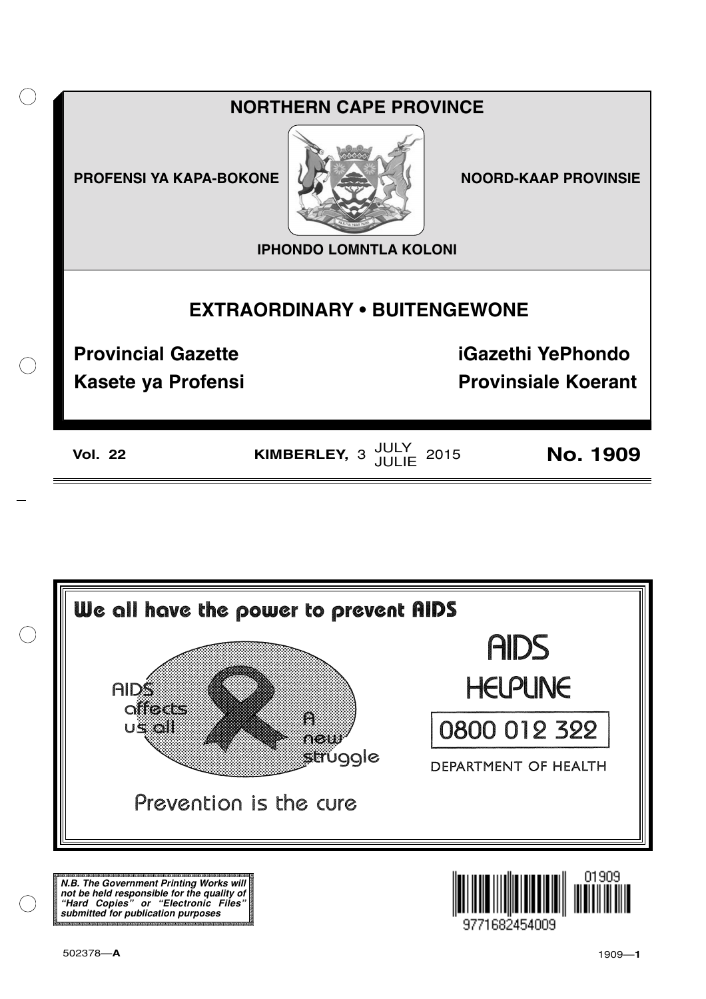



**N.B. The Government Printing Works will not be held responsible for the quality of "Hard Copies" or "Electronic Files" submitted for publication purposes**

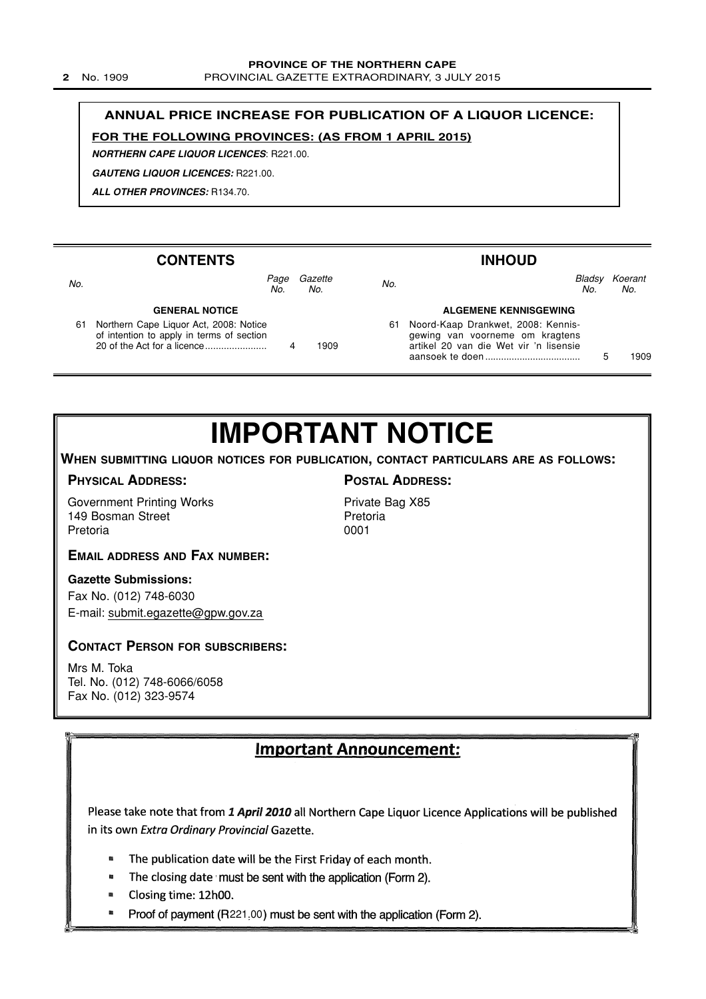### **ANNUAL PRICE INCREASE FOR PUBLICATION OF A LIQUOR LICENCE:**

### **FOR THE FOLLOWING PROVINCES: (AS FROM 1 APRIL 2015)**

**NORTHERN CAPE LIQUOR LICENCES**: R221.00.

**GAUTENG LIQUOR LICENCES:** R221.00.

**ALL OTHER PROVINCES:** R134.70.

#### **CONTENTS GENERAL NOTICE** 61 Northern Cape Liquor Act, 2008: Notice of intention to apply in terms of section 20 of the Act for a licence....................... 4 1909 Page Gazette No. No.<br>No. No. **INHOUD ALGEMENE KENNISGEWING** 61 Noord-Kaap Drankwet, 2008: Kennis gewing van voorneme om kragtens artikel 20 van die Wet vir 'n lisensie aansoek te doen .................................... 5 1909 Bladsy Koerant No. No. No.

## **IMPORTANT NOTICE**

### **WHEN SUBMITTING LIQUOR NOTICES FOR PUBLICATION, CONTACT PARTICULARS ARE AS FOLLOWS:**

### **PHYSICAL ADDRESS:**

Government Printing Works 149 Bosman Street Pretoria

### **EMAIL ADDRESS AND FAX NUMBER:**

### **Gazette Submissions:**

Fax No. (012) 748-6030 E-mail: submit.egazette@gpw.gov.za

### **CONTACT PERSON FOR SUBSCRIBERS:**

Mrs M. Toka Tel. No. (012) 748-6066/6058 Fax No. (012) 323-9574

### Important Announcement:

Please take note that from 1 April 2010 all Northern Cape Liquor Licence Applications will be published in its own Extra Ordinary Provincial Gazette.

- The publication date will be the First Friday of each month. ø
- $\blacksquare$ The closing date must be sent with the application (Form 2).
- Closing time: 12h00.  $\blacksquare$
- $\blacksquare$ Proof of payment (R221,00) must be sent with the application (Form 2).

Private Bag X85 Pretoria 0001

### **POSTAL ADDRESS:**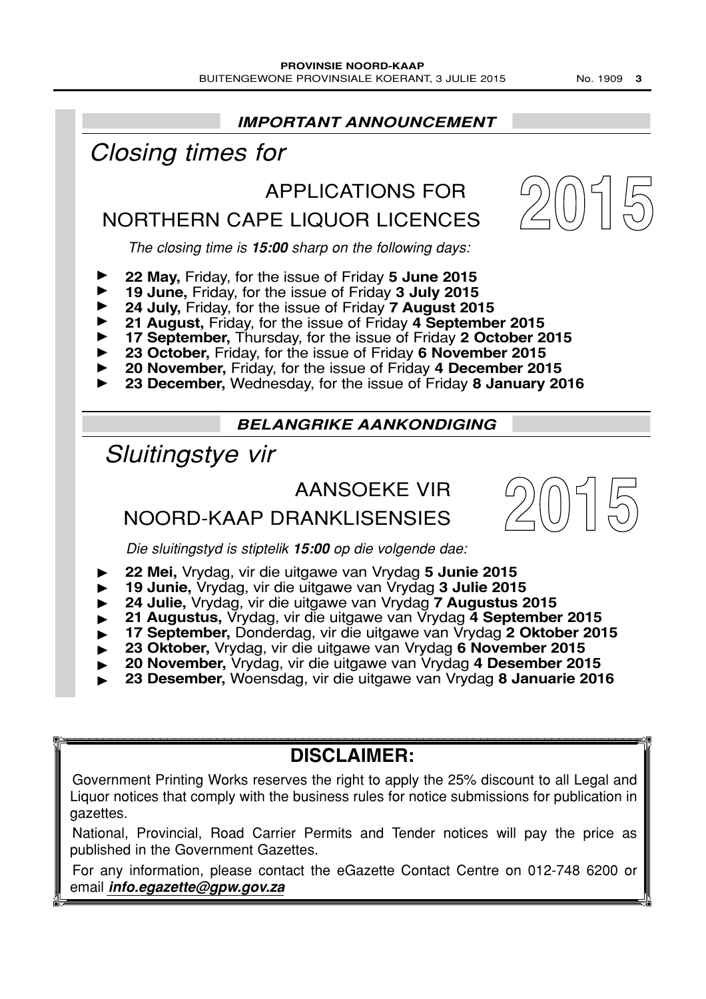

### **DISCLAIMER:**

Government Printing Works reserves the right to apply the 25% discount to all Legal and Liquor notices that comply with the business rules for notice submissions for publication in gazettes.

National, Provincial, Road Carrier Permits and Tender notices will pay the price as published in the Government Gazettes.

For any information, please contact the eGazette Contact Centre on 012-748 6200 or email **info.egazette@gpw.gov.za**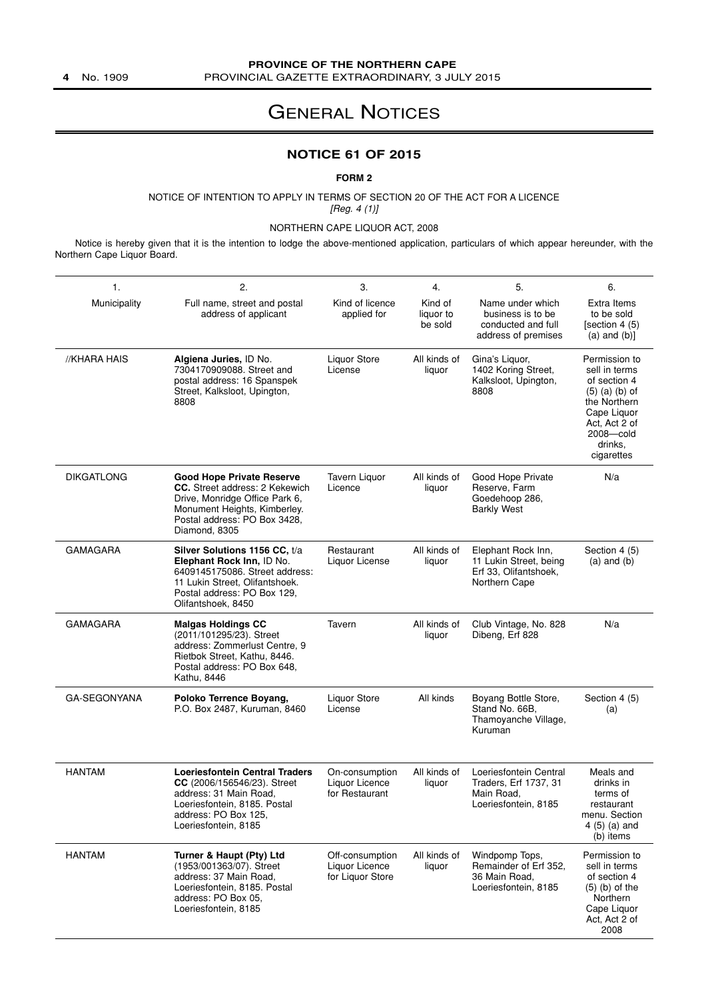### **PROVINCE OF THE NORTHERN CAPE**

**4** No. 1909 PROVINCIAL GAZETTE EXTRAORDINARY, 3 JULY 2015

### GENERAL NOTICES

### **NOTICE 61 OF 2015**

### **FORM 2**

NOTICE OF INTENTION TO APPLY IN TERMS OF SECTION 20 OF THE ACT FOR A LICENCE [Reg. 4 (1)]

NORTHERN CAPE LIQUOR ACT, 2008

Notice is hereby given that it is the intention to lodge the above-mentioned application, particulars of which appear hereunder, with the Northern Cape Liquor Board.

| 1.                  | 2.                                                                                                                                                                                           | 3.                                                    | 4.                              | 5.                                                                                     | 6.                                                                                                                                                           |
|---------------------|----------------------------------------------------------------------------------------------------------------------------------------------------------------------------------------------|-------------------------------------------------------|---------------------------------|----------------------------------------------------------------------------------------|--------------------------------------------------------------------------------------------------------------------------------------------------------------|
| Municipality        | Full name, street and postal<br>address of applicant                                                                                                                                         | Kind of licence<br>applied for                        | Kind of<br>liquor to<br>be sold | Name under which<br>business is to be<br>conducted and full<br>address of premises     | Extra Items<br>to be sold<br>[section $4(5)$ ]<br>$(a)$ and $(b)$ ]                                                                                          |
| //KHARA HAIS        | Algiena Juries, ID No.<br>7304170909088. Street and<br>postal address: 16 Spanspek<br>Street, Kalksloot, Upington,<br>8808                                                                   | Liquor Store<br>License                               | All kinds of<br>liquor          | Gina's Liquor,<br>1402 Koring Street,<br>Kalksloot, Upington,<br>8808                  | Permission to<br>sell in terms<br>of section 4<br>$(5)$ $(a)$ $(b)$ of<br>the Northern<br>Cape Liquor<br>Act, Act 2 of<br>2008-cold<br>drinks,<br>cigarettes |
| <b>DIKGATLONG</b>   | <b>Good Hope Private Reserve</b><br><b>CC.</b> Street address: 2 Kekewich<br>Drive, Monridge Office Park 6,<br>Monument Heights, Kimberley.<br>Postal address: PO Box 3428,<br>Diamond, 8305 | Tavern Liquor<br>Licence                              | All kinds of<br>liquor          | Good Hope Private<br>Reserve, Farm<br>Goedehoop 286,<br><b>Barkly West</b>             | N/a                                                                                                                                                          |
| <b>GAMAGARA</b>     | Silver Solutions 1156 CC, t/a<br>Elephant Rock Inn, ID No.<br>6409145175086. Street address:<br>11 Lukin Street, Olifantshoek.<br>Postal address: PO Box 129,<br>Olifantshoek, 8450          | Restaurant<br>Liquor License                          | All kinds of<br>liquor          | Elephant Rock Inn,<br>11 Lukin Street, being<br>Erf 33, Olifantshoek,<br>Northern Cape | Section 4 (5)<br>$(a)$ and $(b)$                                                                                                                             |
| <b>GAMAGARA</b>     | <b>Malgas Holdings CC</b><br>(2011/101295/23). Street<br>address: Zommerlust Centre, 9<br>Rietbok Street, Kathu, 8446.<br>Postal address: PO Box 648,<br>Kathu, 8446                         | Tavern                                                | All kinds of<br>liquor          | Club Vintage, No. 828<br>Dibeng, Erf 828                                               | N/a                                                                                                                                                          |
| <b>GA-SEGONYANA</b> | Poloko Terrence Boyang,<br>P.O. Box 2487, Kuruman, 8460                                                                                                                                      | Liquor Store<br>License                               | All kinds                       | Boyang Bottle Store,<br>Stand No. 66B.<br>Thamoyanche Village,<br>Kuruman              | Section 4 (5)<br>(a)                                                                                                                                         |
| <b>HANTAM</b>       | <b>Loeriesfontein Central Traders</b><br>CC (2006/156546/23). Street<br>address: 31 Main Road,<br>Loeriesfontein, 8185. Postal<br>address: PO Box 125,<br>Loeriesfontein, 8185               | On-consumption<br>Liquor Licence<br>for Restaurant    | All kinds of<br>liquor          | Loeriesfontein Central<br>Traders, Erf 1737, 31<br>Main Road,<br>Loeriesfontein, 8185  | Meals and<br>drinks in<br>terms of<br>restaurant<br>menu. Section<br>$4(5)$ (a) and<br>(b) items                                                             |
| <b>HANTAM</b>       | Turner & Haupt (Pty) Ltd<br>(1953/001363/07). Street<br>address: 37 Main Road,<br>Loeriesfontein, 8185. Postal<br>address: PO Box 05,<br>Loeriesfontein, 8185                                | Off-consumption<br>Liquor Licence<br>for Liquor Store | All kinds of<br>liquor          | Windpomp Tops,<br>Remainder of Erf 352,<br>36 Main Road,<br>Loeriesfontein, 8185       | Permission to<br>sell in terms<br>of section 4<br>$(5)$ (b) of the<br>Northern<br>Cape Liquor<br>Act, Act 2 of<br>2008                                       |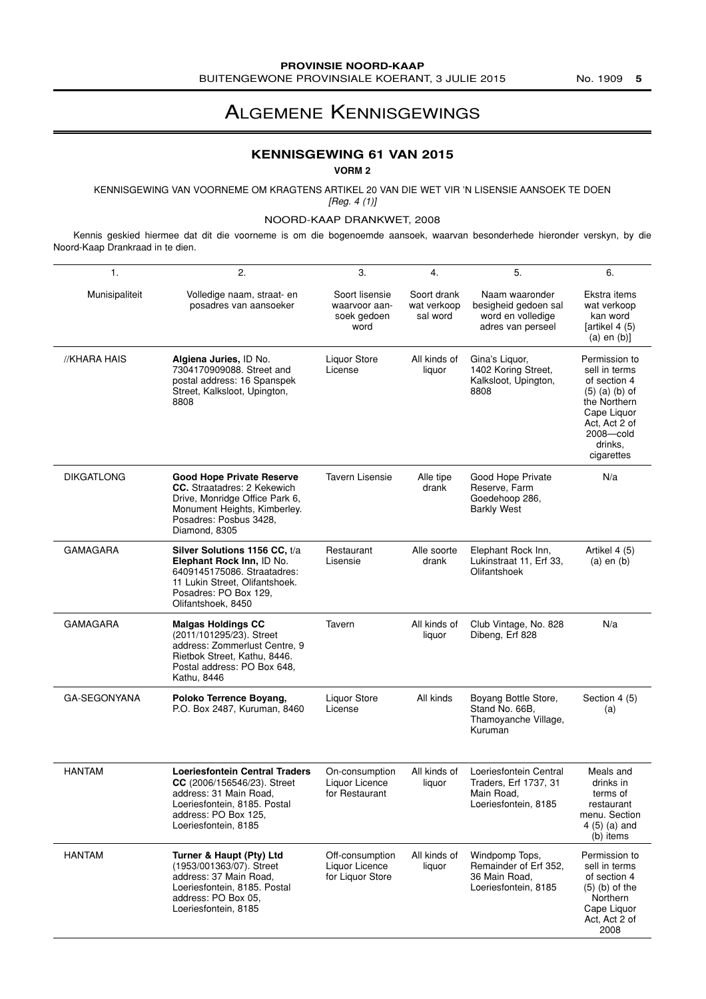### ALGEMENE KENNISGEWINGS

### **KENNISGEWING 61 VAN 2015**

**VORM 2**

KENNISGEWING VAN VOORNEME OM KRAGTENS ARTIKEL 20 VAN DIE WET VIR 'N LISENSIE AANSOEK TE DOEN [Reg. 4 (1)]

#### NOORD-KAAP DRANKWET, 2008

Kennis geskied hiermee dat dit die voorneme is om die bogenoemde aansoek, waarvan besonderhede hieronder verskyn, by die Noord-Kaap Drankraad in te dien.

| 1.                  | 2.                                                                                                                                                                                  | 3.                                                     | 4.                                     | 5.                                                                                    | 6.                                                                                                                                                           |
|---------------------|-------------------------------------------------------------------------------------------------------------------------------------------------------------------------------------|--------------------------------------------------------|----------------------------------------|---------------------------------------------------------------------------------------|--------------------------------------------------------------------------------------------------------------------------------------------------------------|
| Munisipaliteit      | Volledige naam, straat- en<br>posadres van aansoeker                                                                                                                                | Soort lisensie<br>waarvoor aan-<br>soek gedoen<br>word | Soort drank<br>wat verkoop<br>sal word | Naam waaronder<br>besigheid gedoen sal<br>word en volledige<br>adres van perseel      | Ekstra items<br>wat verkoop<br>kan word<br>[artikel 4 (5)]<br>$(a)$ en $(b)$ ]                                                                               |
| //KHARA HAIS        | Algiena Juries, ID No.<br>7304170909088. Street and<br>postal address: 16 Spanspek<br>Street, Kalksloot, Upington,<br>8808                                                          | <b>Liquor Store</b><br>License                         | All kinds of<br>liquor                 | Gina's Liquor,<br>1402 Koring Street,<br>Kalksloot, Upington,<br>8808                 | Permission to<br>sell in terms<br>of section 4<br>$(5)$ $(a)$ $(b)$ of<br>the Northern<br>Cape Liquor<br>Act, Act 2 of<br>2008-cold<br>drinks,<br>cigarettes |
| <b>DIKGATLONG</b>   | <b>Good Hope Private Reserve</b><br><b>CC.</b> Straatadres: 2 Kekewich<br>Drive, Monridge Office Park 6,<br>Monument Heights, Kimberley.<br>Posadres: Posbus 3428,<br>Diamond, 8305 | <b>Tavern Lisensie</b>                                 | Alle tipe<br>drank                     | Good Hope Private<br>Reserve, Farm<br>Goedehoop 286,<br><b>Barkly West</b>            | N/a                                                                                                                                                          |
| <b>GAMAGARA</b>     | Silver Solutions 1156 CC, t/a<br>Elephant Rock Inn, ID No.<br>6409145175086. Straatadres:<br>11 Lukin Street, Olifantshoek.<br>Posadres: PO Box 129,<br>Olifantshoek, 8450          | Restaurant<br>Lisensie                                 | Alle soorte<br>drank                   | Elephant Rock Inn,<br>Lukinstraat 11, Erf 33,<br>Olifantshoek                         | Artikel 4 (5)<br>$(a)$ en $(b)$                                                                                                                              |
| <b>GAMAGARA</b>     | <b>Malgas Holdings CC</b><br>(2011/101295/23). Street<br>address: Zommerlust Centre, 9<br>Rietbok Street, Kathu, 8446.<br>Postal address: PO Box 648,<br>Kathu, 8446                | Tavern                                                 | All kinds of<br>liquor                 | Club Vintage, No. 828<br>Dibeng, Erf 828                                              | N/a                                                                                                                                                          |
| <b>GA-SEGONYANA</b> | Poloko Terrence Boyang,<br>P.O. Box 2487, Kuruman, 8460                                                                                                                             | <b>Liquor Store</b><br>License                         | All kinds                              | Boyang Bottle Store,<br>Stand No. 66B,<br>Thamoyanche Village,<br>Kuruman             | Section 4 (5)<br>(a)                                                                                                                                         |
| <b>HANTAM</b>       | <b>Loeriesfontein Central Traders</b><br>CC (2006/156546/23). Street<br>address: 31 Main Road,<br>Loeriesfontein, 8185. Postal<br>address: PO Box 125,<br>Loeriesfontein, 8185      | On-consumption<br>Liquor Licence<br>for Restaurant     | All kinds of<br>liquor                 | Loeriesfontein Central<br>Traders, Erf 1737, 31<br>Main Road,<br>Loeriesfontein, 8185 | Meals and<br>drinks in<br>terms of<br>restaurant<br>menu. Section<br>$4(5)$ (a) and<br>(b) items                                                             |
| <b>HANTAM</b>       | Turner & Haupt (Pty) Ltd<br>(1953/001363/07). Street<br>address: 37 Main Road,<br>Loeriesfontein, 8185, Postal<br>address: PO Box 05,<br>Loeriesfontein, 8185                       | Off-consumption<br>Liquor Licence<br>for Liquor Store  | All kinds of<br>liquor                 | Windpomp Tops,<br>Remainder of Erf 352,<br>36 Main Road.<br>Loeriesfontein, 8185      | Permission to<br>sell in terms<br>of section 4<br>$(5)$ (b) of the<br>Northern<br>Cape Liquor<br>Act, Act 2 of<br>2008                                       |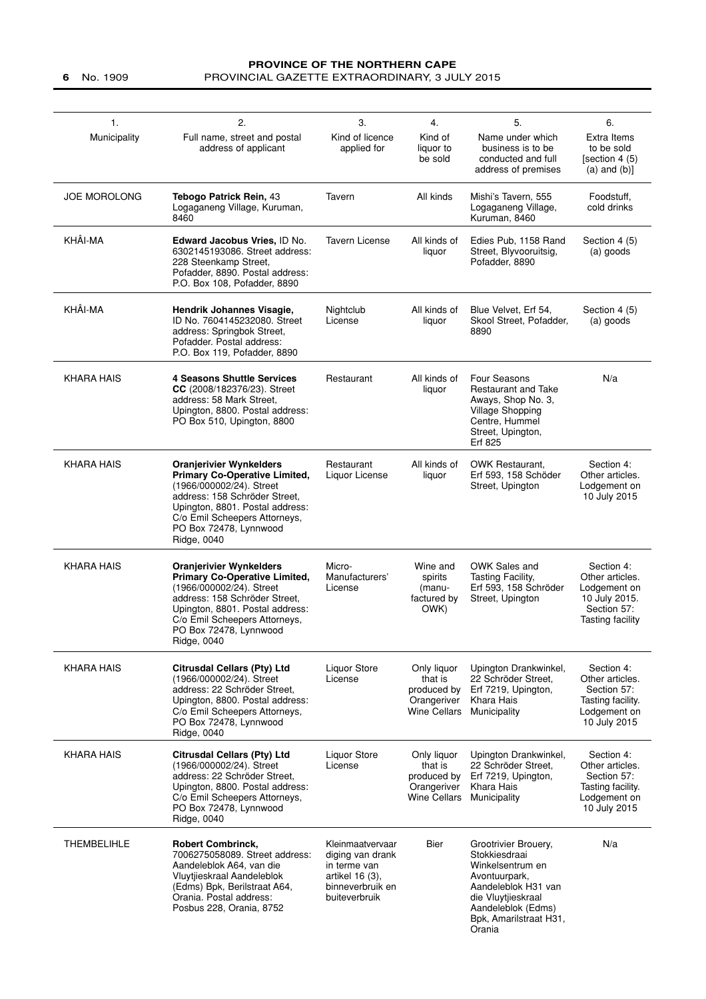### **PROVINCE OF THE NORTHERN CAPE 6** No. 1909 PROVINCIAL GAZETTE EXTRAORDINARY, 3 JULY 2015

| $\mathbf{1}$ .<br>Municipality | 2.<br>Full name, street and postal<br>address of applicant                                                                                                                                                                                       | 3.<br>Kind of licence<br>applied for                                                                         | 4.<br>Kind of<br>liquor to<br>be sold                                       | 5.<br>Name under which<br>business is to be<br>conducted and full<br>address of premises                                                                                          | 6.<br>Extra Items<br>to be sold<br>[section 4 (5)<br>$(a)$ and $(b)$ ]                            |
|--------------------------------|--------------------------------------------------------------------------------------------------------------------------------------------------------------------------------------------------------------------------------------------------|--------------------------------------------------------------------------------------------------------------|-----------------------------------------------------------------------------|-----------------------------------------------------------------------------------------------------------------------------------------------------------------------------------|---------------------------------------------------------------------------------------------------|
| <b>JOE MOROLONG</b>            | Tebogo Patrick Rein, 43<br>Logaganeng Village, Kuruman,<br>8460                                                                                                                                                                                  | Tavern                                                                                                       | All kinds                                                                   | Mishi's Tavern, 555<br>Logaganeng Village,<br>Kuruman, 8460                                                                                                                       | Foodstuff,<br>cold drinks                                                                         |
| KHÂI-MA                        | Edward Jacobus Vries, ID No.<br>6302145193086. Street address:<br>228 Steenkamp Street,<br>Pofadder, 8890. Postal address:<br>P.O. Box 108, Pofadder, 8890                                                                                       | <b>Tavern License</b>                                                                                        | All kinds of<br>liquor                                                      | Edies Pub, 1158 Rand<br>Street, Blyvooruitsig,<br>Pofadder, 8890                                                                                                                  | Section 4 (5)<br>(a) goods                                                                        |
| KHÂI-MA                        | Hendrik Johannes Visagie,<br>ID No. 7604145232080. Street<br>address: Springbok Street,<br>Pofadder. Postal address:<br>P.O. Box 119, Pofadder, 8890                                                                                             | Nightclub<br>License                                                                                         | All kinds of<br>liquor                                                      | Blue Velvet, Erf 54,<br>Skool Street, Pofadder,<br>8890                                                                                                                           | Section 4 (5)<br>(a) goods                                                                        |
| <b>KHARA HAIS</b>              | <b>4 Seasons Shuttle Services</b><br>CC (2008/182376/23). Street<br>address: 58 Mark Street,<br>Upington, 8800. Postal address:<br>PO Box 510, Upington, 8800                                                                                    | Restaurant                                                                                                   | All kinds of<br>liquor                                                      | Four Seasons<br>Restaurant and Take<br>Aways, Shop No. 3,<br>Village Shopping<br>Centre, Hummel<br>Street, Upington,<br>Erf 825                                                   | N/a                                                                                               |
| <b>KHARA HAIS</b>              | <b>Oranjerivier Wynkelders</b><br><b>Primary Co-Operative Limited,</b><br>(1966/000002/24). Street<br>address: 158 Schröder Street,<br>Upington, 8801. Postal address:<br>C/o Emil Scheepers Attorneys,<br>PO Box 72478, Lynnwood<br>Ridge, 0040 | Restaurant<br>Liquor License                                                                                 | All kinds of<br>liquor                                                      | <b>OWK Restaurant.</b><br>Erf 593, 158 Schöder<br>Street, Upington                                                                                                                | Section 4:<br>Other articles.<br>Lodgement on<br>10 July 2015                                     |
| <b>KHARA HAIS</b>              | <b>Oranjerivier Wynkelders</b><br><b>Primary Co-Operative Limited,</b><br>(1966/000002/24). Street<br>address: 158 Schröder Street,<br>Upington, 8801. Postal address:<br>C/o Emil Scheepers Attorneys,<br>PO Box 72478, Lynnwood<br>Ridge, 0040 | Micro-<br>Manufacturers'<br>License                                                                          | Wine and<br>spirits<br>(manu-<br>factured by<br>OWK)                        | OWK Sales and<br>Tasting Facility,<br>Erf 593, 158 Schröder<br>Street, Upington                                                                                                   | Section 4:<br>Other articles.<br>Lodgement on<br>10 July 2015.<br>Section 57:<br>Tasting facility |
| <b>KHARA HAIS</b>              | Citrusdal Cellars (Pty) Ltd<br>(1966/000002/24). Street<br>address: 22 Schröder Street,<br>Upington, 8800. Postal address:<br>C/o Emil Scheepers Attorneys,<br>PO Box 72478, Lynnwood<br>Ridge, 0040                                             | Liquor Store<br>License                                                                                      | Only liquor<br>that is<br>produced by<br>Orangeriver<br>Wine Cellars        | Upington Drankwinkel,<br>22 Schröder Street.<br>Erf 7219, Upington,<br>Khara Hais<br>Municipality                                                                                 | Section 4:<br>Other articles.<br>Section 57:<br>Tasting facility.<br>Lodgement on<br>10 July 2015 |
| <b>KHARA HAIS</b>              | <b>Citrusdal Cellars (Pty) Ltd</b><br>(1966/000002/24). Street<br>address: 22 Schröder Street,<br>Upington, 8800. Postal address:<br>C/o Emil Scheepers Attorneys,<br>PO Box 72478, Lynnwood<br>Ridge, 0040                                      | Liquor Store<br>License                                                                                      | Only liquor<br>that is<br>produced by<br>Orangeriver<br><b>Wine Cellars</b> | Upington Drankwinkel,<br>22 Schröder Street.<br>Erf 7219, Upington,<br>Khara Hais<br>Municipality                                                                                 | Section 4:<br>Other articles.<br>Section 57:<br>Tasting facility.<br>Lodgement on<br>10 July 2015 |
| <b>THEMBELIHLE</b>             | <b>Robert Combrinck,</b><br>7006275058089. Street address:<br>Aandeleblok A64, van die<br>Vluytjieskraal Aandeleblok<br>(Edms) Bpk, Berilstraat A64,<br>Orania. Postal address:<br>Posbus 228, Orania, 8752                                      | Kleinmaatvervaar<br>diging van drank<br>in terme van<br>artikel 16 (3),<br>binneverbruik en<br>buiteverbruik | Bier                                                                        | Grootrivier Brouery,<br>Stokkiesdraai<br>Winkelsentrum en<br>Avontuurpark,<br>Aandeleblok H31 van<br>die Vluytjieskraal<br>Aandeleblok (Edms)<br>Bpk, Amarilstraat H31,<br>Orania | N/a                                                                                               |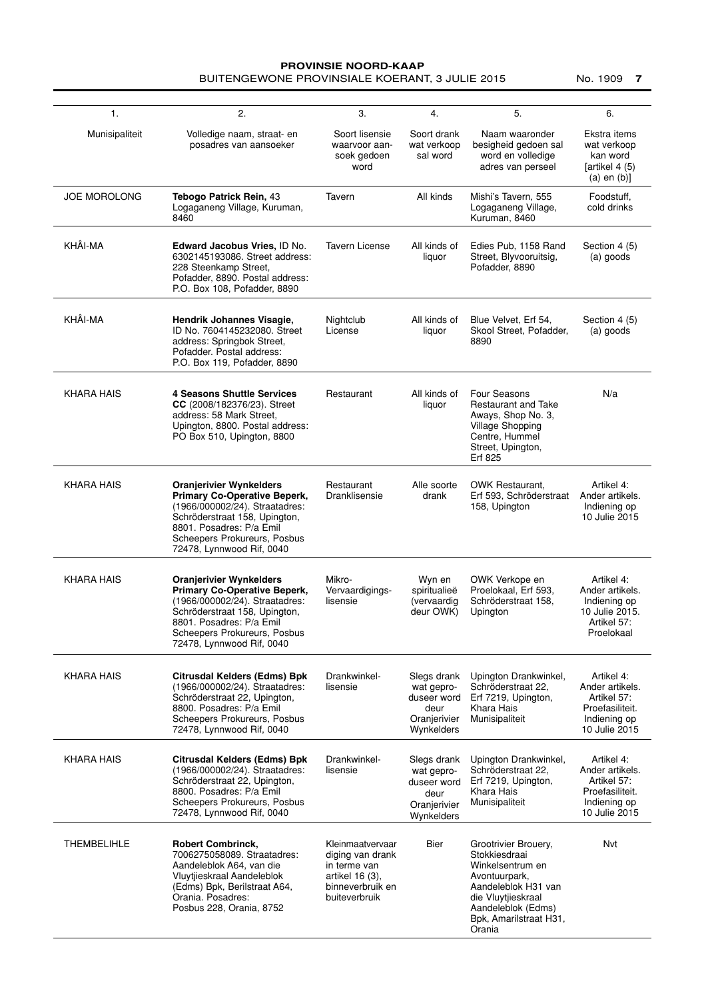### **PROVINSIE NOORD-KAAP** BUITENGEWONE PROVINSIALE KOERANT, 3 JULIE 2015 No. 1909 **7**

| 1.                  | 2.                                                                                                                                                                                                                                | 3.                                                                                                           | 4.                                                                             | 5.                                                                                                                                                                                | 6.                                                                                               |
|---------------------|-----------------------------------------------------------------------------------------------------------------------------------------------------------------------------------------------------------------------------------|--------------------------------------------------------------------------------------------------------------|--------------------------------------------------------------------------------|-----------------------------------------------------------------------------------------------------------------------------------------------------------------------------------|--------------------------------------------------------------------------------------------------|
| Munisipaliteit      | Volledige naam, straat- en<br>posadres van aansoeker                                                                                                                                                                              | Soort lisensie<br>waarvoor aan-<br>soek gedoen<br>word                                                       | Soort drank<br>wat verkoop<br>sal word                                         | Naam waaronder<br>besigheid gedoen sal<br>word en volledige<br>adres van perseel                                                                                                  | Ekstra items<br>wat verkoop<br>kan word<br>[artikel $4(5)$<br>$(a)$ en $(b)$ ]                   |
| <b>JOE MOROLONG</b> | <b>Tebogo Patrick Rein, 43</b><br>Logaganeng Village, Kuruman,<br>8460                                                                                                                                                            | Tavern                                                                                                       | All kinds                                                                      | Mishi's Tavern, 555<br>Logaganeng Village,<br>Kuruman, 8460                                                                                                                       | Foodstuff,<br>cold drinks                                                                        |
| KHÂI-MA             | <b>Edward Jacobus Vries, ID No.</b><br>6302145193086. Street address:<br>228 Steenkamp Street,<br>Pofadder, 8890. Postal address:<br>P.O. Box 108, Pofadder, 8890                                                                 | <b>Tavern License</b>                                                                                        | All kinds of<br>liquor                                                         | Edies Pub, 1158 Rand<br>Street, Blyvooruitsig,<br>Pofadder, 8890                                                                                                                  | Section 4 (5)<br>(a) goods                                                                       |
| KHÂI-MA             | Hendrik Johannes Visagie,<br>ID No. 7604145232080. Street<br>address: Springbok Street,<br>Pofadder, Postal address:<br>P.O. Box 119, Pofadder, 8890                                                                              | Nightclub<br>License                                                                                         | All kinds of<br>liquor                                                         | Blue Velvet, Erf 54,<br>Skool Street, Pofadder,<br>8890                                                                                                                           | Section 4 (5)<br>(a) goods                                                                       |
| <b>KHARA HAIS</b>   | <b>4 Seasons Shuttle Services</b><br>CC (2008/182376/23). Street<br>address: 58 Mark Street,<br>Upington, 8800. Postal address:<br>PO Box 510, Upington, 8800                                                                     | Restaurant                                                                                                   | All kinds of<br>liquor                                                         | Four Seasons<br>Restaurant and Take<br>Aways, Shop No. 3,<br>Village Shopping<br>Centre, Hummel<br>Street, Upington,<br>Erf 825                                                   | N/a                                                                                              |
| <b>KHARA HAIS</b>   | <b>Oranjerivier Wynkelders</b><br><b>Primary Co-Operative Beperk,</b><br>(1966/000002/24). Straatadres:<br>Schröderstraat 158, Upington,<br>8801. Posadres: P/a Emil<br>Scheepers Prokureurs, Posbus<br>72478, Lynnwood Rif, 0040 | Restaurant<br>Dranklisensie                                                                                  | Alle soorte<br>drank                                                           | <b>OWK Restaurant.</b><br>Erf 593, Schröderstraat<br>158, Upington                                                                                                                | Artikel 4:<br>Ander artikels.<br>Indiening op<br>10 Julie 2015                                   |
| <b>KHARA HAIS</b>   | <b>Oranjerivier Wynkelders</b><br><b>Primary Co-Operative Beperk,</b><br>(1966/000002/24). Straatadres:<br>Schröderstraat 158, Upington,<br>8801. Posadres: P/a Emil<br>Scheepers Prokureurs, Posbus<br>72478, Lynnwood Rif, 0040 | Mikro-<br>Vervaardigings-<br>lisensie                                                                        | Wyn en<br>spiritualieë<br>(vervaardig<br>deur OWK)                             | OWK Verkope en<br>Proelokaal, Erf 593,<br>Schröderstraat 158.<br>Upington                                                                                                         | Artikel 4:<br>Ander artikels.<br>Indiening op<br>10 Julie 2015.<br>Artikel 57:<br>Proelokaal     |
| <b>KHARA HAIS</b>   | Citrusdal Kelders (Edms) Bpk<br>(1966/000002/24). Straatadres:<br>Schröderstraat 22, Upington,<br>8800. Posadres: P/a Emil<br>Scheepers Prokureurs, Posbus<br>72478, Lynnwood Rif, 0040                                           | Drankwinkel-<br>lisensie                                                                                     | Slegs drank<br>wat gepro-<br>duseer word<br>deur<br>Oranjerivier<br>Wynkelders | Upington Drankwinkel,<br>Schröderstraat 22.<br>Erf 7219, Upington,<br>Khara Hais<br>Munisipaliteit                                                                                | Artikel 4:<br>Ander artikels.<br>Artikel 57:<br>Proefasiliteit.<br>Indiening op<br>10 Julie 2015 |
| <b>KHARA HAIS</b>   | <b>Citrusdal Kelders (Edms) Bpk</b><br>(1966/000002/24). Straatadres:<br>Schröderstraat 22, Upington,<br>8800. Posadres: P/a Emil<br>Scheepers Prokureurs, Posbus<br>72478, Lynnwood Rif, 0040                                    | Drankwinkel-<br>lisensie                                                                                     | Slegs drank<br>wat gepro-<br>duseer word<br>deur<br>Oranjerivier<br>Wynkelders | Upington Drankwinkel,<br>Schröderstraat 22.<br>Erf 7219, Upington,<br>Khara Hais<br>Munisipaliteit                                                                                | Artikel 4:<br>Ander artikels.<br>Artikel 57:<br>Proefasiliteit.<br>Indiening op<br>10 Julie 2015 |
| <b>THEMBELIHLE</b>  | <b>Robert Combrinck,</b><br>7006275058089. Straatadres:<br>Aandeleblok A64, van die<br>Vluytjieskraal Aandeleblok<br>(Edms) Bpk, Berilstraat A64,<br>Orania. Posadres:<br>Posbus 228, Orania, 8752                                | Kleinmaatvervaar<br>diging van drank<br>in terme van<br>artikel 16 (3),<br>binneverbruik en<br>buiteverbruik | Bier                                                                           | Grootrivier Brouery,<br>Stokkiesdraai<br>Winkelsentrum en<br>Avontuurpark,<br>Aandeleblok H31 van<br>die Vluytjieskraal<br>Aandeleblok (Edms)<br>Bpk, Amarilstraat H31,<br>Orania | Nvt                                                                                              |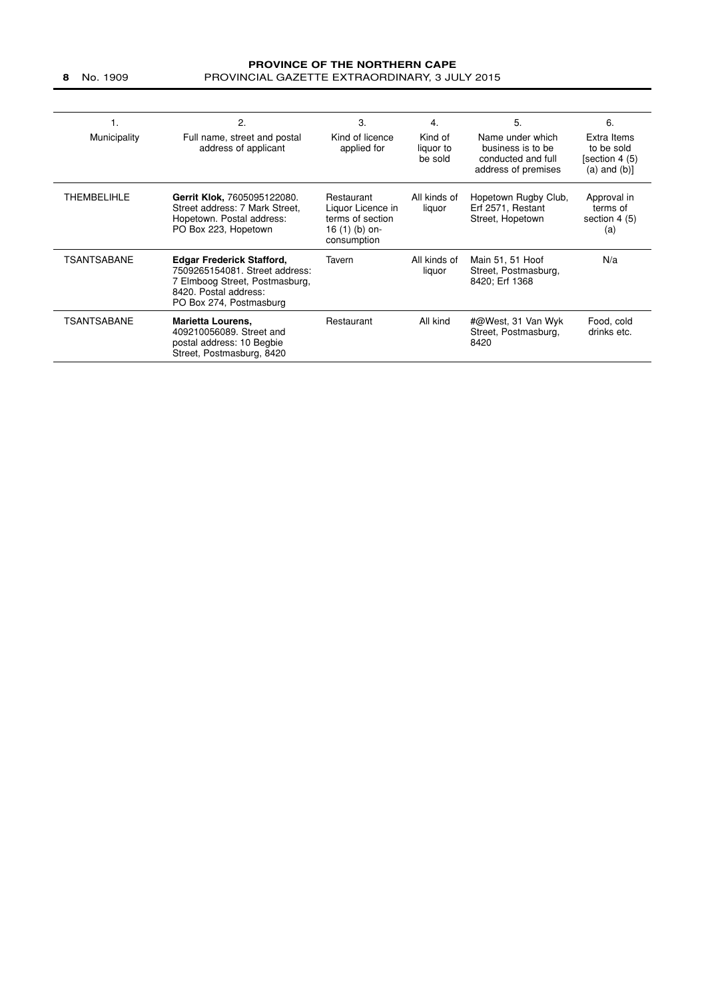### **PROVINCE OF THE NORTHERN CAPE 8** No. 1909 PROVINCIAL GAZETTE EXTRAORDINARY, 3 JULY 2015

| ι.                 | 2.                                                                                                                                                       | 3.                                                                                   | 4.                              | 5.                                                                                 | 6.                                                               |
|--------------------|----------------------------------------------------------------------------------------------------------------------------------------------------------|--------------------------------------------------------------------------------------|---------------------------------|------------------------------------------------------------------------------------|------------------------------------------------------------------|
| Municipality       | Full name, street and postal<br>address of applicant                                                                                                     | Kind of licence<br>applied for                                                       | Kind of<br>liquor to<br>be sold | Name under which<br>business is to be<br>conducted and full<br>address of premises | Extra Items<br>to be sold<br>[section 4 (5)<br>$(a)$ and $(b)$ ] |
| <b>THEMBELIHLE</b> | Gerrit Klok, 7605095122080.<br>Street address: 7 Mark Street.<br>Hopetown. Postal address:<br>PO Box 223, Hopetown                                       | Restaurant<br>Liquor Licence in<br>terms of section<br>16 (1) (b) on-<br>consumption | All kinds of<br>liquor          | Hopetown Rugby Club,<br>Erf 2571, Restant<br>Street, Hopetown                      | Approval in<br>terms of<br>section $4(5)$<br>(a)                 |
| TSANTSABANE        | <b>Edgar Frederick Stafford,</b><br>7509265154081. Street address:<br>7 Elmboog Street, Postmasburg,<br>8420. Postal address:<br>PO Box 274, Postmasburg | Tavern                                                                               | All kinds of<br>liquor          | Main 51, 51 Hoof<br>Street, Postmasburg,<br>8420; Erf 1368                         | N/a                                                              |
| TSANTSABANE        | <b>Marietta Lourens,</b><br>409210056089. Street and<br>postal address: 10 Begbie<br>Street, Postmasburg, 8420                                           | Restaurant                                                                           | All kind                        | #@West, 31 Van Wyk<br>Street, Postmasburg,<br>8420                                 | Food, cold<br>drinks etc.                                        |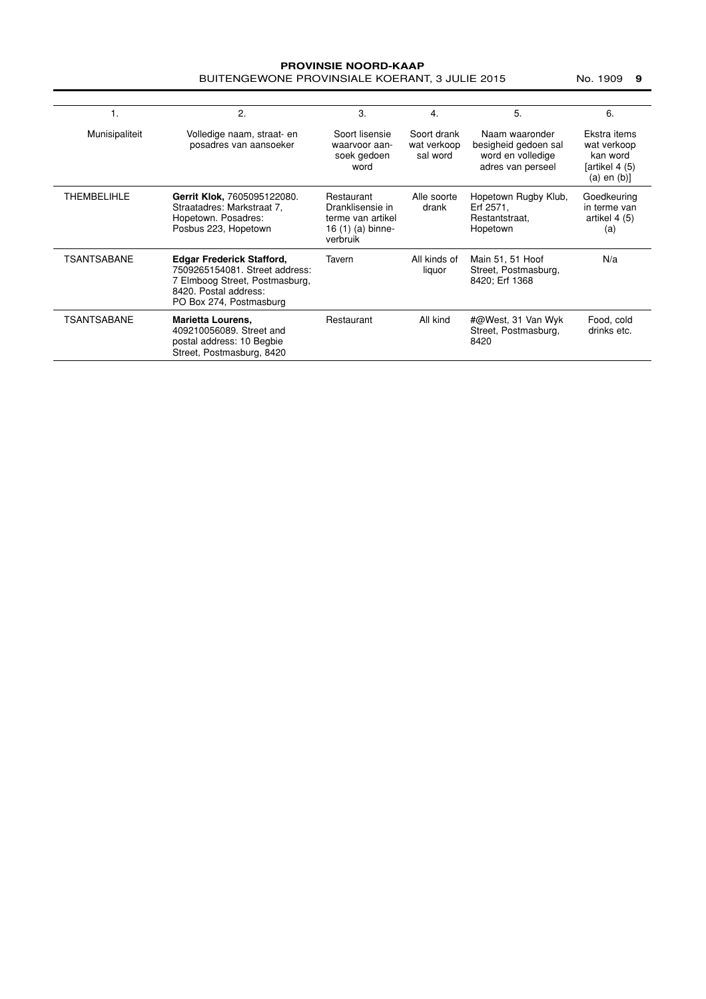### **PROVINSIE NOORD-KAAP** BUITENGEWONE PROVINSIALE KOERANT, 3 JULIE 2015 No. 1909 9

|                    | 2.                                                                                                                                                       | 3.                                                                                   | 4.                                     | 5.                                                                               | 6.                                                                            |
|--------------------|----------------------------------------------------------------------------------------------------------------------------------------------------------|--------------------------------------------------------------------------------------|----------------------------------------|----------------------------------------------------------------------------------|-------------------------------------------------------------------------------|
| Munisipaliteit     | Volledige naam, straat- en<br>posadres van aansoeker                                                                                                     | Soort lisensie<br>waarvoor aan-<br>soek gedoen<br>word                               | Soort drank<br>wat verkoop<br>sal word | Naam waaronder<br>besigheid gedoen sal<br>word en volledige<br>adres van perseel | Ekstra items<br>wat verkoop<br>kan word<br>[artikel 4 (5)<br>$(a)$ en $(b)$ ] |
| <b>THEMBELIHLE</b> | Gerrit Klok, 7605095122080.<br>Straatadres: Markstraat 7.<br>Hopetown. Posadres:<br>Posbus 223, Hopetown                                                 | Restaurant<br>Dranklisensie in<br>terme van artikel<br>16 (1) (a) binne-<br>verbruik | Alle soorte<br>drank                   | Hopetown Rugby Klub,<br>Erf 2571,<br>Restantstraat.<br>Hopetown                  | Goedkeuring<br>in terme van<br>artikel 4 (5)<br>(a)                           |
| TSANTSABANE        | <b>Edgar Frederick Stafford,</b><br>7509265154081. Street address:<br>7 Elmboog Street, Postmasburg,<br>8420. Postal address:<br>PO Box 274, Postmasburg | Tavern                                                                               | All kinds of<br>liquor                 | Main 51, 51 Hoof<br>Street, Postmasburg,<br>8420; Erf 1368                       | N/a                                                                           |
| TSANTSABANE        | <b>Marietta Lourens,</b><br>409210056089. Street and<br>postal address: 10 Begbie<br>Street, Postmasburg, 8420                                           | Restaurant                                                                           | All kind                               | #@West, 31 Van Wyk<br>Street, Postmasburg,<br>8420                               | Food, cold<br>drinks etc.                                                     |